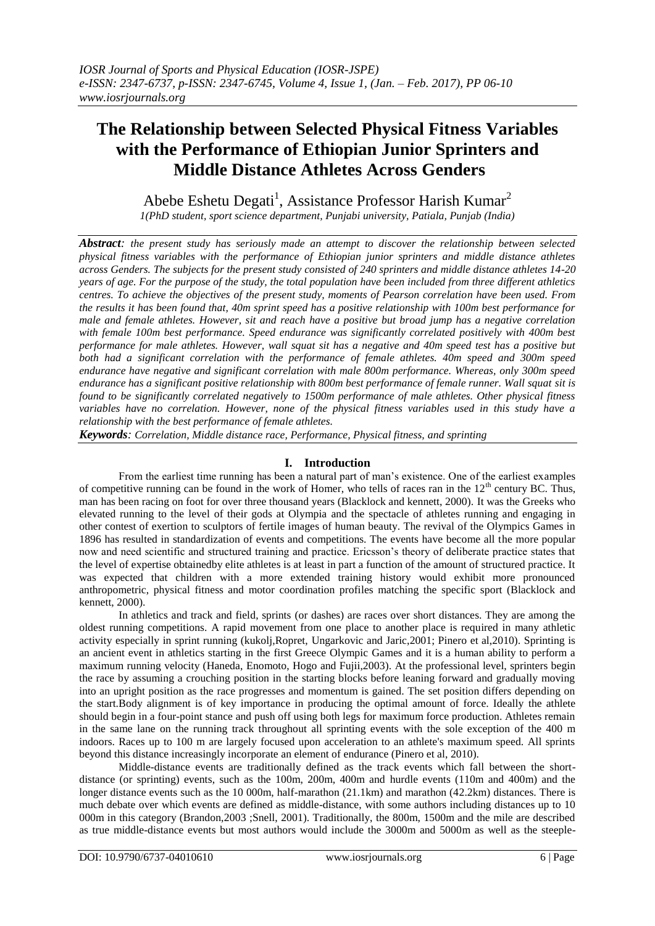# **The Relationship between Selected Physical Fitness Variables with the Performance of Ethiopian Junior Sprinters and Middle Distance Athletes Across Genders**

Abebe Eshetu Degati<sup>1</sup>, Assistance Professor Harish Kumar<sup>2</sup>

*1(PhD student, sport science department, Punjabi university, Patiala, Punjab (India)*

*Abstract: the present study has seriously made an attempt to discover the relationship between selected physical fitness variables with the performance of Ethiopian junior sprinters and middle distance athletes across Genders. The subjects for the present study consisted of 240 sprinters and middle distance athletes 14-20 years of age. For the purpose of the study, the total population have been included from three different athletics centres. To achieve the objectives of the present study, moments of Pearson correlation have been used. From the results it has been found that, 40m sprint speed has a positive relationship with 100m best performance for male and female athletes. However, sit and reach have a positive but broad jump has a negative correlation with female 100m best performance. Speed endurance was significantly correlated positively with 400m best performance for male athletes. However, wall squat sit has a negative and 40m speed test has a positive but both had a significant correlation with the performance of female athletes. 40m speed and 300m speed endurance have negative and significant correlation with male 800m performance. Whereas, only 300m speed endurance has a significant positive relationship with 800m best performance of female runner. Wall squat sit is found to be significantly correlated negatively to 1500m performance of male athletes. Other physical fitness variables have no correlation. However, none of the physical fitness variables used in this study have a relationship with the best performance of female athletes.*

*Keywords: Correlation, Middle distance race, Performance, Physical fitness, and sprinting*

# **I. Introduction**

From the earliest time running has been a natural part of man's existence. One of the earliest examples of competitive running can be found in the work of Homer, who tells of races ran in the  $12<sup>th</sup>$  century BC. Thus, man has been racing on foot for over three thousand years (Blacklock and kennett, 2000). It was the Greeks who elevated running to the level of their gods at Olympia and the spectacle of athletes running and engaging in other contest of exertion to sculptors of fertile images of human beauty. The revival of the Olympics Games in 1896 has resulted in standardization of events and competitions. The events have become all the more popular now and need scientific and structured training and practice. Ericsson's theory of deliberate practice states that the level of expertise obtainedby elite athletes is at least in part a function of the amount of structured practice. It was expected that children with a more extended training history would exhibit more pronounced anthropometric, physical fitness and motor coordination profiles matching the specific sport (Blacklock and kennett, 2000).

In athletics and track and field, sprints (or dashes) are races over short distances. They are among the oldest running competitions. A rapid movement from one place to another place is required in many athletic activity especially in sprint running (kukolj,Ropret, Ungarkovic and Jaric,2001; Pinero et al,2010). Sprinting is an ancient event in athletics starting in the first Greece Olympic Games and it is a human ability to perform a maximum running velocity (Haneda, Enomoto, Hogo and Fujii,2003). At the professional level, sprinters begin the race by assuming a crouching position in the starting blocks before leaning forward and gradually moving into an upright position as the race progresses and momentum is gained. The set position differs depending on the start.Body alignment is of key importance in producing the optimal amount of force. Ideally the athlete should begin in a four-point stance and push off using both legs for maximum force production. Athletes remain in the same lane on the running track throughout all sprinting events with the sole exception of the 400 m indoors. Races up to 100 m are largely focused upon acceleration to an athlete's maximum speed. All sprints beyond this distance increasingly incorporate an element of endurance (Pinero et al, 2010).

Middle-distance events are traditionally defined as the track events which fall between the shortdistance (or sprinting) events, such as the 100m, 200m, 400m and hurdle events (110m and 400m) and the longer distance events such as the 10 000m, half-marathon (21.1km) and marathon (42.2km) distances. There is much debate over which events are defined as middle-distance, with some authors including distances up to 10 000m in this category (Brandon,2003 ;Snell, 2001). Traditionally, the 800m, 1500m and the mile are described as true middle-distance events but most authors would include the 3000m and 5000m as well as the steeple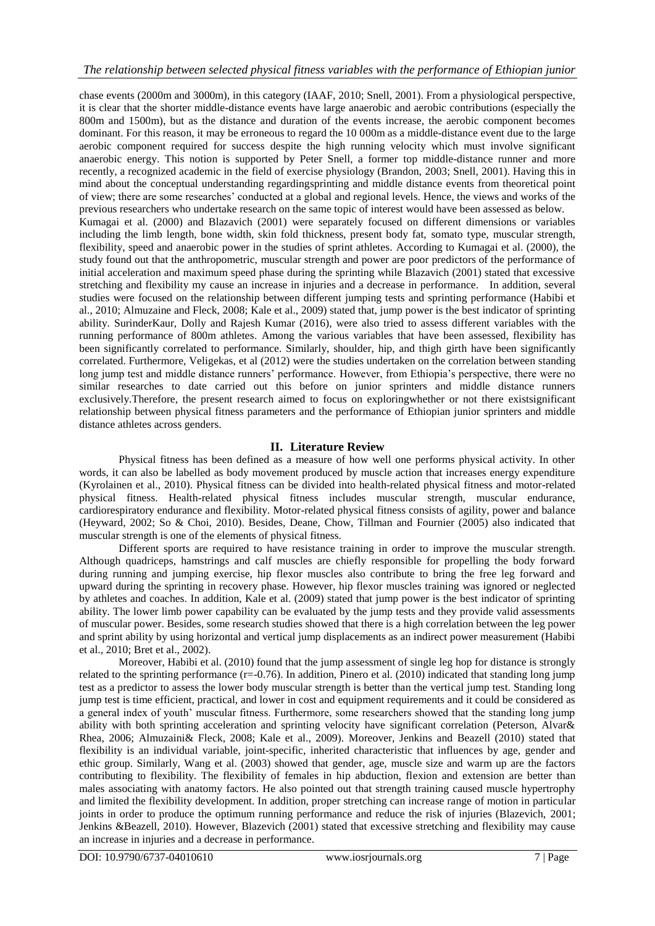chase events (2000m and 3000m), in this category (IAAF, 2010; Snell, 2001). From a physiological perspective, it is clear that the shorter middle-distance events have large anaerobic and aerobic contributions (especially the 800m and 1500m), but as the distance and duration of the events increase, the aerobic component becomes dominant. For this reason, it may be erroneous to regard the 10 000m as a middle-distance event due to the large aerobic component required for success despite the high running velocity which must involve significant anaerobic energy. This notion is supported by Peter Snell, a former top middle-distance runner and more recently, a recognized academic in the field of exercise physiology (Brandon, 2003; Snell, 2001). Having this in mind about the conceptual understanding regardingsprinting and middle distance events from theoretical point of view; there are some researches' conducted at a global and regional levels. Hence, the views and works of the previous researchers who undertake research on the same topic of interest would have been assessed as below. Kumagai et al. (2000) and Blazavich (2001) were separately focused on different dimensions or variables including the limb length, bone width, skin fold thickness, present body fat, somato type, muscular strength, flexibility, speed and anaerobic power in the studies of sprint athletes. According to Kumagai et al. (2000), the study found out that the anthropometric, muscular strength and power are poor predictors of the performance of initial acceleration and maximum speed phase during the sprinting while Blazavich (2001) stated that excessive stretching and flexibility my cause an increase in injuries and a decrease in performance. In addition, several studies were focused on the relationship between different jumping tests and sprinting performance (Habibi et al., 2010; Almuzaine and Fleck, 2008; Kale et al., 2009) stated that, jump power is the best indicator of sprinting ability. SurinderKaur, Dolly and Rajesh Kumar (2016), were also tried to assess different variables with the running performance of 800m athletes. Among the various variables that have been assessed, flexibility has been significantly correlated to performance. Similarly, shoulder, hip, and thigh girth have been significantly correlated. Furthermore, Veligekas, et al (2012) were the studies undertaken on the correlation between standing long jump test and middle distance runners' performance. However, from Ethiopia's perspective, there were no similar researches to date carried out this before on junior sprinters and middle distance runners exclusively.Therefore, the present research aimed to focus on exploringwhether or not there existsignificant relationship between physical fitness parameters and the performance of Ethiopian junior sprinters and middle distance athletes across genders.

## **II. Literature Review**

Physical fitness has been defined as a measure of how well one performs physical activity. In other words, it can also be labelled as body movement produced by muscle action that increases energy expenditure (Kyrolainen et al., 2010). Physical fitness can be divided into health-related physical fitness and motor-related physical fitness. Health-related physical fitness includes muscular strength, muscular endurance, cardiorespiratory endurance and flexibility. Motor-related physical fitness consists of agility, power and balance (Heyward, 2002; So & Choi, 2010). Besides, Deane, Chow, Tillman and Fournier (2005) also indicated that muscular strength is one of the elements of physical fitness.

Different sports are required to have resistance training in order to improve the muscular strength. Although quadriceps, hamstrings and calf muscles are chiefly responsible for propelling the body forward during running and jumping exercise, hip flexor muscles also contribute to bring the free leg forward and upward during the sprinting in recovery phase. However, hip flexor muscles training was ignored or neglected by athletes and coaches. In addition, Kale et al. (2009) stated that jump power is the best indicator of sprinting ability. The lower limb power capability can be evaluated by the jump tests and they provide valid assessments of muscular power. Besides, some research studies showed that there is a high correlation between the leg power and sprint ability by using horizontal and vertical jump displacements as an indirect power measurement (Habibi et al., 2010; Bret et al., 2002).

Moreover, Habibi et al. (2010) found that the jump assessment of single leg hop for distance is strongly related to the sprinting performance  $(r=0.76)$ . In addition, Pinero et al. (2010) indicated that standing long jump test as a predictor to assess the lower body muscular strength is better than the vertical jump test. Standing long jump test is time efficient, practical, and lower in cost and equipment requirements and it could be considered as a general index of youth' muscular fitness. Furthermore, some researchers showed that the standing long jump ability with both sprinting acceleration and sprinting velocity have significant correlation (Peterson, Alvar& Rhea, 2006; Almuzaini& Fleck, 2008; Kale et al., 2009). Moreover, Jenkins and Beazell (2010) stated that flexibility is an individual variable, joint-specific, inherited characteristic that influences by age, gender and ethic group. Similarly, Wang et al. (2003) showed that gender, age, muscle size and warm up are the factors contributing to flexibility. The flexibility of females in hip abduction, flexion and extension are better than males associating with anatomy factors. He also pointed out that strength training caused muscle hypertrophy and limited the flexibility development. In addition, proper stretching can increase range of motion in particular joints in order to produce the optimum running performance and reduce the risk of injuries (Blazevich, 2001; Jenkins &Beazell, 2010). However, Blazevich (2001) stated that excessive stretching and flexibility may cause an increase in injuries and a decrease in performance.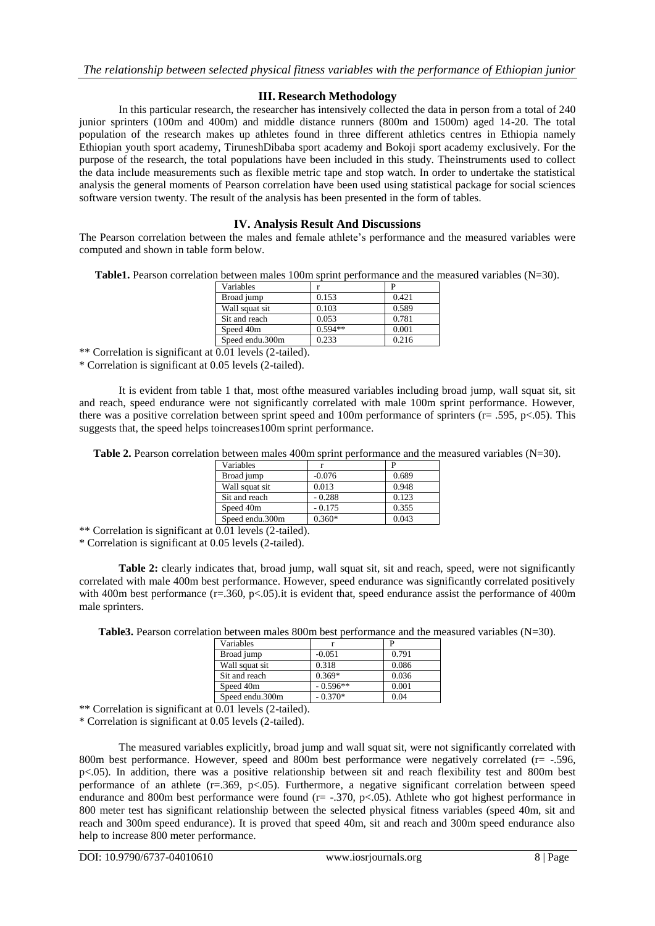### **III. Research Methodology**

In this particular research, the researcher has intensively collected the data in person from a total of 240 junior sprinters (100m and 400m) and middle distance runners (800m and 1500m) aged 14-20. The total population of the research makes up athletes found in three different athletics centres in Ethiopia namely Ethiopian youth sport academy, TiruneshDibaba sport academy and Bokoji sport academy exclusively. For the purpose of the research, the total populations have been included in this study. Theinstruments used to collect the data include measurements such as flexible metric tape and stop watch. In order to undertake the statistical analysis the general moments of Pearson correlation have been used using statistical package for social sciences software version twenty. The result of the analysis has been presented in the form of tables.

#### **IV. Analysis Result And Discussions**

The Pearson correlation between the males and female athlete's performance and the measured variables were computed and shown in table form below.

**Table1.** Pearson correlation between males 100m sprint performance and the measured variables (N=30).

| Variables       |           |       |
|-----------------|-----------|-------|
| Broad jump      | 0.153     | 0.421 |
| Wall squat sit  | 0.103     | 0.589 |
| Sit and reach   | 0.053     | 0.781 |
| Speed 40m       | $0.594**$ | 0.001 |
| Speed endu.300m | 0.233     | 0.216 |

\*\* Correlation is significant at  $\overline{0.01}$  levels (2-tailed).

\* Correlation is significant at 0.05 levels (2-tailed).

It is evident from table 1 that, most ofthe measured variables including broad jump, wall squat sit, sit and reach, speed endurance were not significantly correlated with male 100m sprint performance. However, there was a positive correlation between sprint speed and 100m performance of sprinters ( $r = .595$ ,  $p < .05$ ). This suggests that, the speed helps toincreases100m sprint performance.

**Table 2.** Pearson correlation between males 400m sprint performance and the measured variables (N=30).

| Variables       |          |       |
|-----------------|----------|-------|
| Broad jump      | $-0.076$ | 0.689 |
| Wall squat sit  | 0.013    | 0.948 |
| Sit and reach   | $-0.288$ | 0.123 |
| Speed 40m       | $-0.175$ | 0.355 |
| Speed endu.300m | $0.360*$ | 0.043 |

\*\* Correlation is significant at  $\overline{0.01}$  levels (2-tailed).

\* Correlation is significant at 0.05 levels (2-tailed).

**Table 2:** clearly indicates that, broad jump, wall squat sit, sit and reach, speed, were not significantly correlated with male 400m best performance. However, speed endurance was significantly correlated positively with 400m best performance (r=.360, p<.05).it is evident that, speed endurance assist the performance of 400m male sprinters.

**Table3.** Pearson correlation between males 800m best performance and the measured variables (N=30).

| Variables       |            |       |
|-----------------|------------|-------|
| Broad jump      | $-0.051$   | 0.791 |
| Wall squat sit  | 0.318      | 0.086 |
| Sit and reach   | $0.369*$   | 0.036 |
| Speed 40m       | $-0.596**$ | 0.001 |
| Speed endu.300m | $-0.370*$  | 0.04  |

\*\* Correlation is significant at 0.01 levels (2-tailed).

\* Correlation is significant at 0.05 levels (2-tailed).

The measured variables explicitly, broad jump and wall squat sit, were not significantly correlated with 800m best performance. However, speed and 800m best performance were negatively correlated (r= -.596, p<.05). In addition, there was a positive relationship between sit and reach flexibility test and 800m best performance of an athlete (r=.369, p<.05). Furthermore, a negative significant correlation between speed endurance and 800m best performance were found (r= -.370, p<.05). Athlete who got highest performance in 800 meter test has significant relationship between the selected physical fitness variables (speed 40m, sit and reach and 300m speed endurance). It is proved that speed 40m, sit and reach and 300m speed endurance also help to increase 800 meter performance.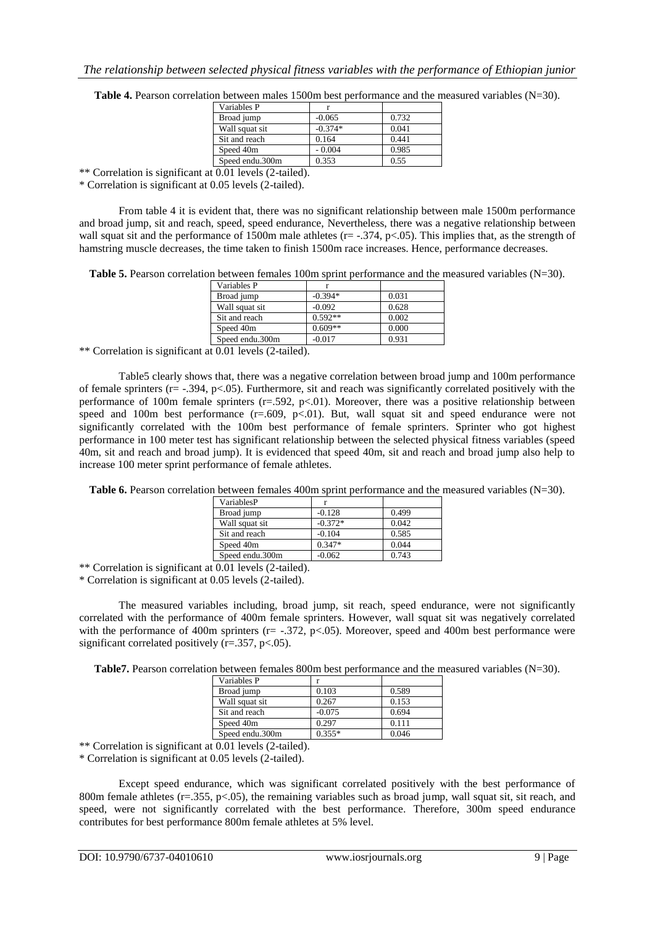| <b>Table 4.</b> Pearson correlation between males 1500m best performance and the measured variables $(N=30)$ . |  |
|----------------------------------------------------------------------------------------------------------------|--|
|----------------------------------------------------------------------------------------------------------------|--|

| Variables P     |           |       |
|-----------------|-----------|-------|
| Broad jump      | $-0.065$  | 0.732 |
| Wall squat sit  | $-0.374*$ | 0.041 |
| Sit and reach   | 0.164     | 0.441 |
| Speed 40m       | $-0.004$  | 0.985 |
| Speed endu.300m | 0.353     | 0.55  |
| 0.0111.721      |           |       |

\*\* Correlation is significant at 0.01 levels (2-tailed).

\* Correlation is significant at 0.05 levels (2-tailed).

From table 4 it is evident that, there was no significant relationship between male 1500m performance and broad jump, sit and reach, speed, speed endurance, Nevertheless, there was a negative relationship between wall squat sit and the performance of 1500m male athletes ( $r = -0.374$ ,  $p < 0.05$ ). This implies that, as the strength of hamstring muscle decreases, the time taken to finish 1500m race increases. Hence, performance decreases.

**Table 5.** Pearson correlation between females 100m sprint performance and the measured variables (N=30).

| Variables P     |           |       |
|-----------------|-----------|-------|
| Broad jump      | $-0.394*$ | 0.031 |
| Wall squat sit  | $-0.092$  | 0.628 |
| Sit and reach   | $0.592**$ | 0.002 |
| Speed 40m       | $0.609**$ | 0.000 |
| Speed endu.300m | $-0.017$  | 0.931 |

\*\* Correlation is significant at 0.01 levels (2-tailed).

Table5 clearly shows that, there was a negative correlation between broad jump and 100m performance of female sprinters ( $r = -0.394$ ,  $p < 0.05$ ). Furthermore, sit and reach was significantly correlated positively with the performance of 100m female sprinters  $(r=.592, p<.01)$ . Moreover, there was a positive relationship between speed and 100m best performance  $(r=.609, p<.01)$ . But, wall squat sit and speed endurance were not significantly correlated with the 100m best performance of female sprinters. Sprinter who got highest performance in 100 meter test has significant relationship between the selected physical fitness variables (speed 40m, sit and reach and broad jump). It is evidenced that speed 40m, sit and reach and broad jump also help to increase 100 meter sprint performance of female athletes.

**Table 6.** Pearson correlation between females 400m sprint performance and the measured variables (N=30).

| VariablesP      |           |       |
|-----------------|-----------|-------|
| Broad jump      | $-0.128$  | 0.499 |
| Wall squat sit  | $-0.372*$ | 0.042 |
| Sit and reach   | $-0.104$  | 0.585 |
| Speed 40m       | $0.347*$  | 0.044 |
| Speed endu.300m | $-0.062$  | 0.743 |

\*\* Correlation is significant at 0.01 levels (2-tailed).

\* Correlation is significant at 0.05 levels (2-tailed).

The measured variables including, broad jump, sit reach, speed endurance, were not significantly correlated with the performance of 400m female sprinters. However, wall squat sit was negatively correlated with the performance of 400m sprinters (r= -.372, p<.05). Moreover, speed and 400m best performance were significant correlated positively ( $r = .357$ ,  $p < .05$ ).

**Table7.** Pearson correlation between females 800m best performance and the measured variables (N=30).

| Variables P     |          |       |
|-----------------|----------|-------|
| Broad jump      | 0.103    | 0.589 |
| Wall squat sit  | 0.267    | 0.153 |
| Sit and reach   | $-0.075$ | 0.694 |
| Speed 40m       | 0.297    | 0.111 |
| Speed endu.300m | $0.355*$ | 0.046 |

\*\* Correlation is significant at 0.01 levels (2-tailed).

\* Correlation is significant at 0.05 levels (2-tailed).

Except speed endurance, which was significant correlated positively with the best performance of 800m female athletes ( $r=0.355$ ,  $p<0.05$ ), the remaining variables such as broad jump, wall squat sit, sit reach, and speed, were not significantly correlated with the best performance. Therefore, 300m speed endurance contributes for best performance 800m female athletes at 5% level.